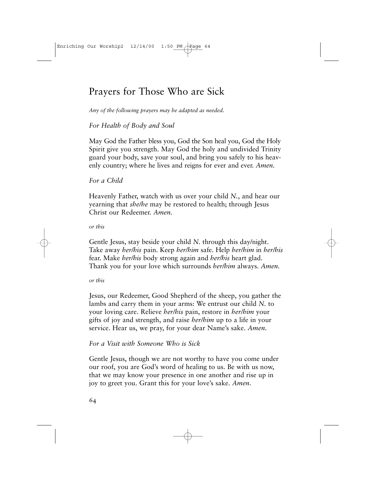# Prayers for Those Who are Sick

*Any of the following prayers may be adapted as needed.*

*For Health of Body and Soul*

May God the Father bless you, God the Son heal you, God the Holy Spirit give you strength. May God the holy and undivided Trinity guard your body, save your soul, and bring you safely to his heavenly country; where he lives and reigns for ever and ever. *Amen.*

*For a Child*

Heavenly Father, watch with us over your child *N.*, and hear our yearning that *she/he* may be restored to health; through Jesus Christ our Redeemer. *Amen.*

*or this*

Gentle Jesus, stay beside your child *N.* through this day/night. Take away *her/his* pain. Keep *her/him* safe. Help *her/him* in *her/his* fear. Make *her/his* body strong again and *her/his* heart glad. Thank you for your love which surrounds *her/him* always. *Amen.*

*or this*

Jesus, our Redeemer, Good Shepherd of the sheep, you gather the lambs and carry them in your arms: We entrust our child *N.* to your loving care. Relieve *her/his* pain, restore in *her/him* your gifts of joy and strength, and raise *her/him* up to a life in your service. Hear us, we pray, for your dear Name's sake. *Amen.*

*For a Visit with Someone Who is Sick*

Gentle Jesus, though we are not worthy to have you come under our roof, you are God's word of healing to us. Be with us now, that we may know your presence in one another and rise up in joy to greet you. Grant this for your love's sake. *Amen.*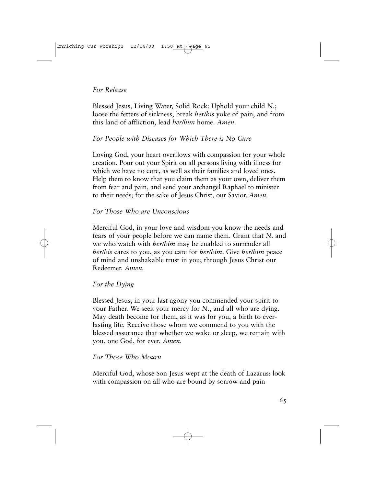## *For Release*

Blessed Jesus, Living Water, Solid Rock: Uphold your child *N.*; loose the fetters of sickness, break *her/his* yoke of pain, and from this land of affliction, lead *her/him* home. *Amen.*

## *For People with Diseases for Which There is No Cure*

Loving God, your heart overflows with compassion for your whole creation. Pour out your Spirit on all persons living with illness for which we have no cure, as well as their families and loved ones. Help them to know that you claim them as your own, deliver them from fear and pain, and send your archangel Raphael to minister to their needs; for the sake of Jesus Christ, our Savior. *Amen.*

## *For Those Who are Unconscious*

Merciful God, in your love and wisdom you know the needs and fears of your people before we can name them. Grant that *N.* and we who watch with *her/him* may be enabled to surrender all *her/his* cares to you, as you care for *her/him*. Give *her/him* peace of mind and unshakable trust in you; through Jesus Christ our Redeemer. *Amen.*

## *For the Dying*

Blessed Jesus, in your last agony you commended your spirit to your Father. We seek your mercy for *N.*, and all who are dying. May death become for them, as it was for you, a birth to everlasting life. Receive those whom we commend to you with the blessed assurance that whether we wake or sleep, we remain with you, one God, for ever. *Amen.*

## *For Those Who Mourn*

Merciful God, whose Son Jesus wept at the death of Lazarus: look with compassion on all who are bound by sorrow and pain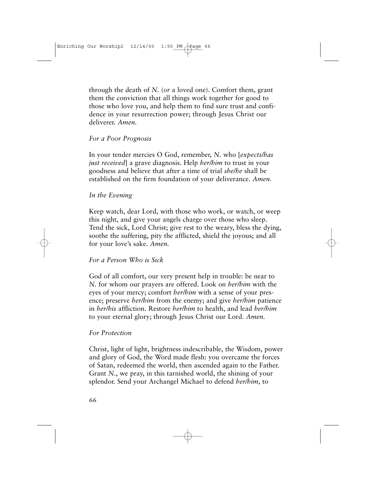through the death of *N.* (*or* a loved one). Comfort them, grant them the conviction that all things work together for good to those who love you, and help them to find sure trust and confidence in your resurrection power; through Jesus Christ our deliverer. *Amen.*

#### *For a Poor Prognosis*

In your tender mercies O God, remember, *N.* who [*expects/has just received*] a grave diagnosis. Help *her/him* to trust in your goodness and believe that after a time of trial *she/he* shall be established on the firm foundation of your deliverance. *Amen.*

## *In the Evening*

Keep watch, dear Lord, with those who work, or watch, or weep this night, and give your angels charge over those who sleep. Tend the sick, Lord Christ; give rest to the weary, bless the dying, soothe the suffering, pity the afflicted, shield the joyous; and all for your love's sake. *Amen.*

#### *For a Person Who is Sick*

God of all comfort, our very present help in trouble: be near to *N.* for whom our prayers are offered. Look on *her/him* with the eyes of your mercy; comfort *her/him* with a sense of your presence; preserve *her/him* from the enemy; and give *her/him* patience in *her/his* affliction. Restore *her/him* to health, and lead *her/him* to your eternal glory; through Jesus Christ our Lord. *Amen.*

## *For Protection*

Christ, light of light, brightness indescribable, the Wisdom, power and glory of God, the Word made flesh: you overcame the forces of Satan, redeemed the world, then ascended again to the Father. Grant *N.*, we pray, in this tarnished world, the shining of your splendor. Send your Archangel Michael to defend *her/him*, to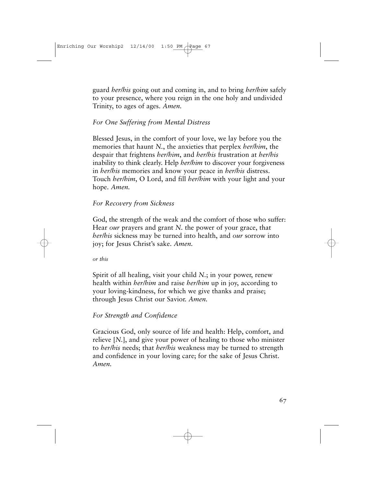guard *her/his* going out and coming in, and to bring *her/him* safely to your presence, where you reign in the one holy and undivided Trinity, to ages of ages. *Amen.*

## *For One Suffering from Mental Distress*

Blessed Jesus, in the comfort of your love, we lay before you the memories that haunt *N.*, the anxieties that perplex *her/him*, the despair that frightens *her/him*, and *her/his* frustration at *her/his* inability to think clearly. Help *her/him* to discover your forgiveness in *her/his* memories and know your peace in *her/his* distress. Touch *her/him*, O Lord, and fill *her/him* with your light and your hope. *Amen.*

#### *For Recovery from Sickness*

God, the strength of the weak and the comfort of those who suffer: Hear *our* prayers and grant *N.* the power of your grace, that *her/his* sickness may be turned into health, and *our* sorrow into joy; for Jesus Christ's sake. *Amen.*

*or this*

Spirit of all healing, visit your child *N.*; in your power, renew health within *her/him* and raise *her/him* up in joy, according to your loving-kindness, for which we give thanks and praise; through Jesus Christ our Savior. *Amen.*

#### *For Strength and Confidence*

Gracious God, only source of life and health: Help, comfort, and relieve [*N.*], and give your power of healing to those who minister to *her/his* needs; that *her/his* weakness may be turned to strength and confidence in your loving care; for the sake of Jesus Christ. *Amen.*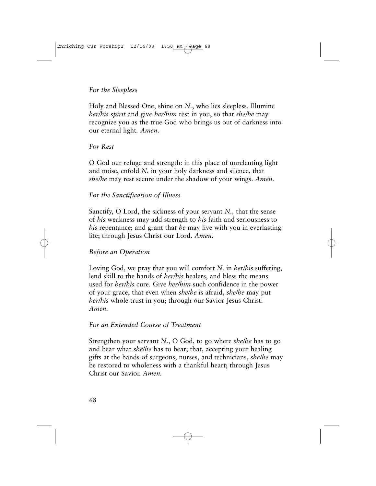#### *For the Sleepless*

Holy and Blessed One, shine on *N.*, who lies sleepless. Illumine *her/his spirit* and give *her/him* rest in you, so that *she/he* may recognize you as the true God who brings us out of darkness into our eternal light*. Amen.*

#### *For Rest*

O God our refuge and strength: in this place of unrelenting light and noise, enfold *N.* in your holy darkness and silence, that *she/he* may rest secure under the shadow of your wings. *Amen.*

## *For the Sanctification of Illness*

Sanctify, O Lord, the sickness of your servant *N.,* that the sense of *his* weakness may add strength to *his* faith and seriousness to *his* repentance; and grant that *he* may live with you in everlasting life; through Jesus Christ our Lord. *Amen.*

#### *Before an Operation*

Loving God, we pray that you will comfort *N.* in *her/his* suffering, lend skill to the hands of *her/his* healers, and bless the means used for *her/his* cure. Give *her/him* such confidence in the power of your grace, that even when *she/he* is afraid, *she/he* may put *her/his* whole trust in you; through our Savior Jesus Christ. *Amen.*

#### *For an Extended Course of Treatment*

Strengthen your servant *N.*, O God, to go where *she/he* has to go and bear what *she/he* has to bear; that, accepting your healing gifts at the hands of surgeons, nurses, and technicians, *she/he* may be restored to wholeness with a thankful heart; through Jesus Christ our Savior. *Amen.*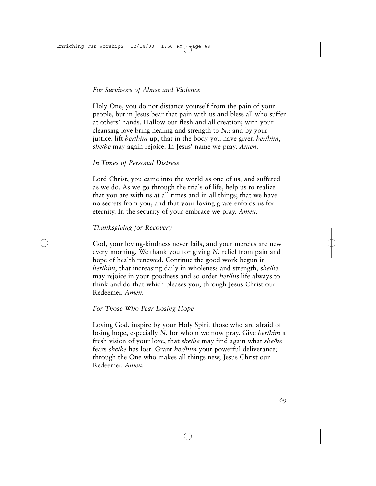## *For Survivors of Abuse and Violence*

Holy One, you do not distance yourself from the pain of your people, but in Jesus bear that pain with us and bless all who suffer at others' hands. Hallow our flesh and all creation; with your cleansing love bring healing and strength to *N.*; and by your justice, lift *her/him* up, that in the body you have given *her/him*, *she/he* may again rejoice. In Jesus' name we pray. *Amen.*

#### *In Times of Personal Distress*

Lord Christ, you came into the world as one of us, and suffered as we do. As we go through the trials of life, help us to realize that you are with us at all times and in all things; that we have no secrets from you; and that your loving grace enfolds us for eternity. In the security of your embrace we pray. *Amen.*

## *Thanksgiving for Recovery*

God, your loving-kindness never fails, and your mercies are new every morning. We thank you for giving *N.* relief from pain and hope of health renewed. Continue the good work begun in *her/him*; that increasing daily in wholeness and strength, *she/he* may rejoice in your goodness and so order *her/his* life always to think and do that which pleases you; through Jesus Christ our Redeemer. *Amen.*

## *For Those Who Fear Losing Hope*

Loving God, inspire by your Holy Spirit those who are afraid of losing hope, especially *N.* for whom we now pray. Give *her/him* a fresh vision of your love, that *she/he* may find again what *she/he* fears *she/he* has lost. Grant *her/him* your powerful deliverance; through the One who makes all things new, Jesus Christ our Redeemer. *Amen.*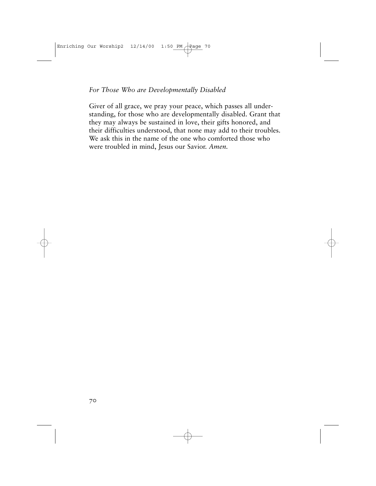#### *For Those Who are Developmentally Disabled*

Giver of all grace, we pray your peace, which passes all understanding, for those who are developmentally disabled. Grant that they may always be sustained in love, their gifts honored, and their difficulties understood, that none may add to their troubles. We ask this in the name of the one who comforted those who were troubled in mind, Jesus our Savior. *Amen.*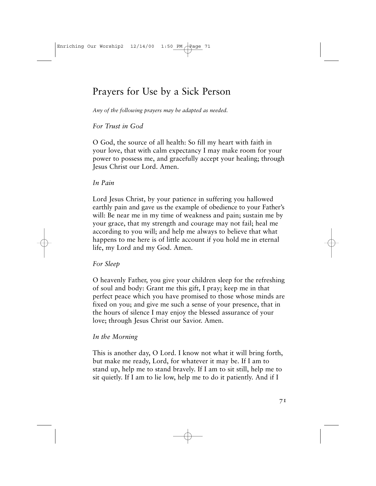# Prayers for Use by a Sick Person

*Any of the following prayers may be adapted as needed.*

## *For Trust in God*

O God, the source of all health: So fill my heart with faith in your love, that with calm expectancy I may make room for your power to possess me, and gracefully accept your healing; through Jesus Christ our Lord. Amen.

## *In Pain*

Lord Jesus Christ, by your patience in suffering you hallowed earthly pain and gave us the example of obedience to your Father's will: Be near me in my time of weakness and pain; sustain me by your grace, that my strength and courage may not fail; heal me according to you will; and help me always to believe that what happens to me here is of little account if you hold me in eternal life, my Lord and my God. Amen.

## *For Sleep*

O heavenly Father, you give your children sleep for the refreshing of soul and body: Grant me this gift, I pray; keep me in that perfect peace which you have promised to those whose minds are fixed on you; and give me such a sense of your presence, that in the hours of silence I may enjoy the blessed assurance of your love; through Jesus Christ our Savior. Amen.

## *In the Morning*

This is another day, O Lord. I know not what it will bring forth, but make me ready, Lord, for whatever it may be. If I am to stand up, help me to stand bravely. If I am to sit still, help me to sit quietly. If I am to lie low, help me to do it patiently. And if I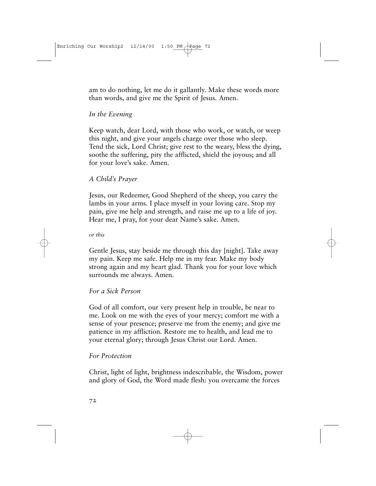am to do nothing, let me do it gallantly. Make these words more than words, and give me the Spirit of Jesus. Amen.

## *In the Evening*

Keep watch, dear Lord, with those who work, or watch, or weep this night, and give your angels charge over those who sleep. Tend the sick, Lord Christ; give rest to the weary, bless the dying, soothe the suffering, pity the afflicted, shield the joyous; and all for your love's sake. Amen.

## *A Child's Prayer*

Jesus, our Redeemer, Good Shepherd of the sheep, you carry the lambs in your arms. I place myself in your loving care. Stop my pain, give me help and strength, and raise me up to a life of joy. Hear me, I pray, for your dear Name's sake. Amen.

*or this*

Gentle Jesus, stay beside me through this day [night]. Take away my pain. Keep me safe. Help me in my fear. Make my body strong again and my heart glad. Thank you for your love which surrounds me always. Amen.

## *For a Sick Person*

God of all comfort, our very present help in trouble, be near to me. Look on me with the eyes of your mercy; comfort me with a sense of your presence; preserve me from the enemy; and give me patience in my affliction. Restore me to health, and lead me to your eternal glory; through Jesus Christ our Lord. Amen.

## *For Protection*

Christ, light of light, brightness indescribable, the Wisdom, power and glory of God, the Word made flesh: you overcame the forces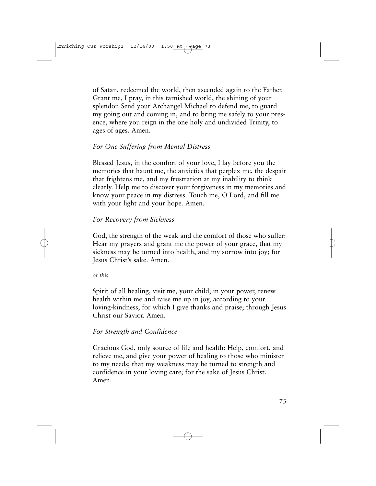of Satan, redeemed the world, then ascended again to the Father. Grant me, I pray, in this tarnished world, the shining of your splendor. Send your Archangel Michael to defend me, to guard my going out and coming in, and to bring me safely to your presence, where you reign in the one holy and undivided Trinity, to ages of ages. Amen.

## *For One Suffering from Mental Distress*

Blessed Jesus, in the comfort of your love, I lay before you the memories that haunt me, the anxieties that perplex me, the despair that frightens me, and my frustration at my inability to think clearly. Help me to discover your forgiveness in my memories and know your peace in my distress. Touch me, O Lord, and fill me with your light and your hope. Amen.

## *For Recovery from Sickness*

God, the strength of the weak and the comfort of those who suffer: Hear my prayers and grant me the power of your grace, that my sickness may be turned into health, and my sorrow into joy; for Jesus Christ's sake. Amen.

#### *or this*

Spirit of all healing, visit me, your child; in your power, renew health within me and raise me up in joy, according to your loving-kindness, for which I give thanks and praise; through Jesus Christ our Savior. Amen.

## *For Strength and Confidence*

Gracious God, only source of life and health: Help, comfort, and relieve me, and give your power of healing to those who minister to my needs; that my weakness may be turned to strength and confidence in your loving care; for the sake of Jesus Christ. Amen.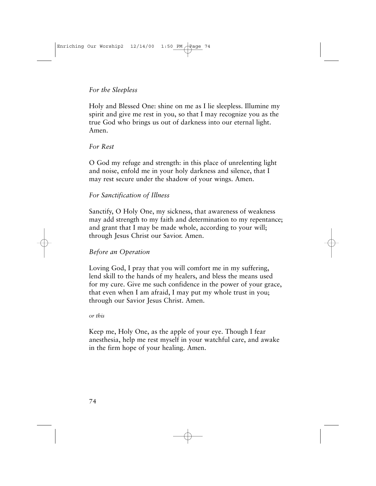#### *For the Sleepless*

Holy and Blessed One: shine on me as I lie sleepless. Illumine my spirit and give me rest in you, so that I may recognize you as the true God who brings us out of darkness into our eternal light. Amen.

#### *For Rest*

O God my refuge and strength: in this place of unrelenting light and noise, enfold me in your holy darkness and silence, that I may rest secure under the shadow of your wings. Amen.

## *For Sanctification of Illness*

Sanctify, O Holy One, my sickness, that awareness of weakness may add strength to my faith and determination to my repentance; and grant that I may be made whole, according to your will; through Jesus Christ our Savior. Amen.

## *Before an Operation*

Loving God, I pray that you will comfort me in my suffering, lend skill to the hands of my healers, and bless the means used for my cure. Give me such confidence in the power of your grace, that even when I am afraid, I may put my whole trust in you; through our Savior Jesus Christ. Amen.

#### *or this*

Keep me, Holy One, as the apple of your eye. Though I fear anesthesia, help me rest myself in your watchful care, and awake in the firm hope of your healing. Amen.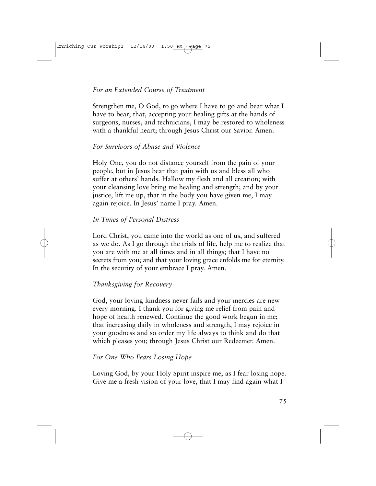## *For an Extended Course of Treatment*

Strengthen me, O God, to go where I have to go and bear what I have to bear; that, accepting your healing gifts at the hands of surgeons, nurses, and technicians, I may be restored to wholeness with a thankful heart; through Jesus Christ our Savior. Amen.

## *For Survivors of Abuse and Violence*

Holy One, you do not distance yourself from the pain of your people, but in Jesus bear that pain with us and bless all who suffer at others' hands. Hallow my flesh and all creation; with your cleansing love bring me healing and strength; and by your justice, lift me up, that in the body you have given me, I may again rejoice. In Jesus' name I pray. Amen.

## *In Times of Personal Distress*

Lord Christ, you came into the world as one of us, and suffered as we do. As I go through the trials of life, help me to realize that you are with me at all times and in all things; that I have no secrets from you; and that your loving grace enfolds me for eternity. In the security of your embrace I pray. Amen.

#### *Thanksgiving for Recovery*

God, your loving-kindness never fails and your mercies are new every morning. I thank you for giving me relief from pain and hope of health renewed. Continue the good work begun in me; that increasing daily in wholeness and strength, I may rejoice in your goodness and so order my life always to think and do that which pleases you; through Jesus Christ our Redeemer. Amen.

## *For One Who Fears Losing Hope*

Loving God, by your Holy Spirit inspire me, as I fear losing hope. Give me a fresh vision of your love, that I may find again what I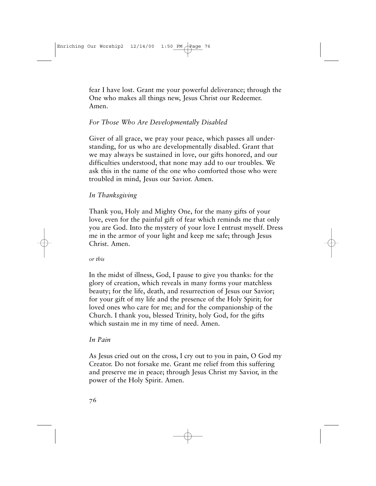fear I have lost. Grant me your powerful deliverance; through the One who makes all things new, Jesus Christ our Redeemer. Amen.

## *For Those Who Are Developmentally Disabled*

Giver of all grace, we pray your peace, which passes all understanding, for us who are developmentally disabled. Grant that we may always be sustained in love, our gifts honored, and our difficulties understood, that none may add to our troubles. We ask this in the name of the one who comforted those who were troubled in mind, Jesus our Savior. Amen.

## *In Thanksgiving*

Thank you, Holy and Mighty One, for the many gifts of your love, even for the painful gift of fear which reminds me that only you are God. Into the mystery of your love I entrust myself. Dress me in the armor of your light and keep me safe; through Jesus Christ. Amen.

*or this*

In the midst of illness, God, I pause to give you thanks: for the glory of creation, which reveals in many forms your matchless beauty; for the life, death, and resurrection of Jesus our Savior; for your gift of my life and the presence of the Holy Spirit; for loved ones who care for me; and for the companionship of the Church. I thank you, blessed Trinity, holy God, for the gifts which sustain me in my time of need. Amen.

## *In Pain*

As Jesus cried out on the cross, I cry out to you in pain, O God my Creator. Do not forsake me. Grant me relief from this suffering and preserve me in peace; through Jesus Christ my Savior, in the power of the Holy Spirit. Amen.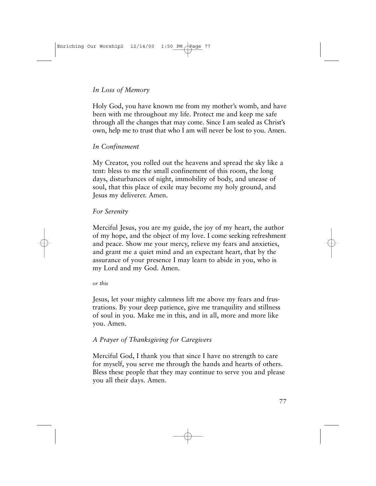## *In Loss of Memory*

Holy God, you have known me from my mother's womb, and have been with me throughout my life. Protect me and keep me safe through all the changes that may come. Since I am sealed as Christ's own, help me to trust that who I am will never be lost to you. Amen.

## *In Confinement*

My Creator, you rolled out the heavens and spread the sky like a tent: bless to me the small confinement of this room, the long days, disturbances of night, immobility of body, and unease of soul, that this place of exile may become my holy ground, and Jesus my deliverer. Amen.

#### *For Serenity*

Merciful Jesus, you are my guide, the joy of my heart, the author of my hope, and the object of my love. I come seeking refreshment and peace. Show me your mercy, relieve my fears and anxieties, and grant me a quiet mind and an expectant heart, that by the assurance of your presence I may learn to abide in you, who is my Lord and my God. Amen.

#### *or this*

Jesus, let your mighty calmness lift me above my fears and frustrations. By your deep patience, give me tranquility and stillness of soul in you. Make me in this, and in all, more and more like you. Amen.

## *A Prayer of Thanksgiving for Caregivers*

Merciful God, I thank you that since I have no strength to care for myself, you serve me through the hands and hearts of others. Bless these people that they may continue to serve you and please you all their days. Amen.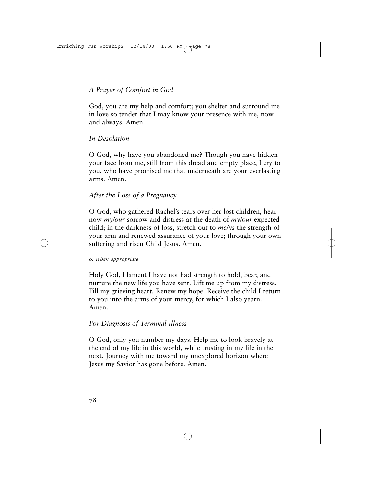## *A Prayer of Comfort in God*

God, you are my help and comfort; you shelter and surround me in love so tender that I may know your presence with me, now and always. Amen.

#### *In Desolation*

O God, why have you abandoned me? Though you have hidden your face from me, still from this dread and empty place, I cry to you, who have promised me that underneath are your everlasting arms. Amen.

## *After the Loss of a Pregnancy*

O God, who gathered Rachel's tears over her lost children, hear now *my/our* sorrow and distress at the death of *my/our* expected child; in the darkness of loss, stretch out to *me/us* the strength of your arm and renewed assurance of your love; through your own suffering and risen Child Jesus. Amen.

#### *or when appropriate*

Holy God, I lament I have not had strength to hold, bear, and nurture the new life you have sent. Lift me up from my distress. Fill my grieving heart. Renew my hope. Receive the child I return to you into the arms of your mercy, for which I also yearn. Amen.

#### *For Diagnosis of Terminal Illness*

O God, only you number my days. Help me to look bravely at the end of my life in this world, while trusting in my life in the next. Journey with me toward my unexplored horizon where Jesus my Savior has gone before. Amen.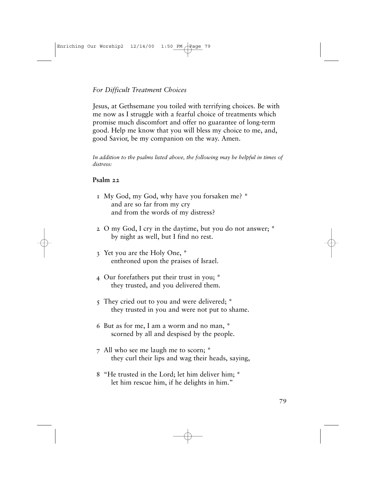#### *For Difficult Treatment Choices*

Jesus, at Gethsemane you toiled with terrifying choices. Be with me now as I struggle with a fearful choice of treatments which promise much discomfort and offer no guarantee of long-term good. Help me know that you will bless my choice to me, and, good Savior, be my companion on the way. Amen.

*In addition to the psalms listed above, the following may be helpful in times of distress:*

- 1 My God, my God, why have you forsaken me? \* and are so far from my cry and from the words of my distress?
- 2 O my God, I cry in the daytime, but you do not answer; \* by night as well, but I find no rest.
- 3 Yet you are the Holy One, \* enthroned upon the praises of Israel.
- 4 Our forefathers put their trust in you; \* they trusted, and you delivered them.
- 5 They cried out to you and were delivered; \* they trusted in you and were not put to shame.
- 6 But as for me, I am a worm and no man, \* scorned by all and despised by the people.
- 7 All who see me laugh me to scorn; \* they curl their lips and wag their heads, saying,
- 8 "He trusted in the Lord; let him deliver him; \* let him rescue him, if he delights in him."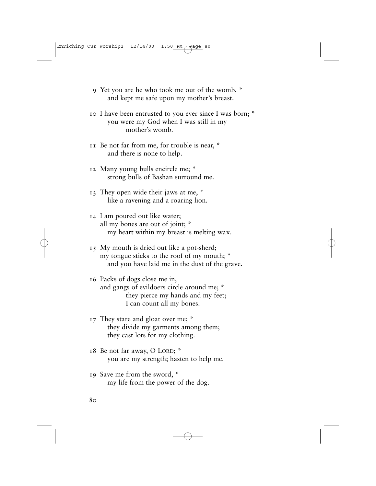- 9 Yet you are he who took me out of the womb, \* and kept me safe upon my mother's breast.
- 10 I have been entrusted to you ever since I was born; \* you were my God when I was still in my mother's womb.
- 11 Be not far from me, for trouble is near, \* and there is none to help.
- 12 Many young bulls encircle me; \* strong bulls of Bashan surround me.
- 13 They open wide their jaws at me, \* like a ravening and a roaring lion.
- 14 I am poured out like water; all my bones are out of joint; \* my heart within my breast is melting wax.
- 15 My mouth is dried out like a pot-sherd; my tongue sticks to the roof of my mouth; \* and you have laid me in the dust of the grave.
- 16 Packs of dogs close me in, and gangs of evildoers circle around me; \* they pierce my hands and my feet; I can count all my bones.
- 17 They stare and gloat over me; \* they divide my garments among them; they cast lots for my clothing.
- 18 Be not far away, O LORD; \* you are my strength; hasten to help me.
- 19 Save me from the sword, \* my life from the power of the dog.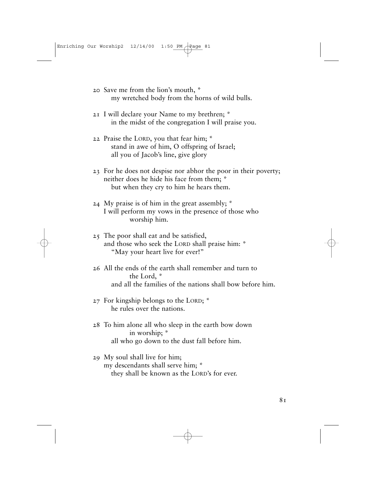- 20 Save me from the lion's mouth, \* my wretched body from the horns of wild bulls.
- 21 I will declare your Name to my brethren; \* in the midst of the congregation I will praise you.
- 22 Praise the LORD, you that fear him; \* stand in awe of him, O offspring of Israel; all you of Jacob's line, give glory
- 23 For he does not despise nor abhor the poor in their poverty; neither does he hide his face from them; \* but when they cry to him he hears them.
- 24 My praise is of him in the great assembly; \* I will perform my vows in the presence of those who worship him.
- 25 The poor shall eat and be satisfied, and those who seek the LORD shall praise him: \* "May your heart live for ever!"
- 26 All the ends of the earth shall remember and turn to the Lord, \* and all the families of the nations shall bow before him.
- 27 For kingship belongs to the LORD; \* he rules over the nations.
- 28 To him alone all who sleep in the earth bow down in worship; \* all who go down to the dust fall before him.
- 29 My soul shall live for him; my descendants shall serve him; \* they shall be known as the LORD's for ever.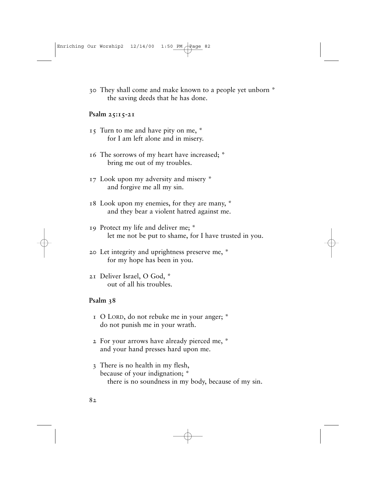30 They shall come and make known to a people yet unborn \* the saving deeds that he has done.

#### **Psalm 25:15-21**

- 15 Turn to me and have pity on me, \* for I am left alone and in misery.
- 16 The sorrows of my heart have increased; \* bring me out of my troubles.
- 17 Look upon my adversity and misery \* and forgive me all my sin.
- 18 Look upon my enemies, for they are many, \* and they bear a violent hatred against me.
- 19 Protect my life and deliver me; \* let me not be put to shame, for I have trusted in you.
- 20 Let integrity and uprightness preserve me, \* for my hope has been in you.
- 21 Deliver Israel, O God, \* out of all his troubles.

- 1 O LORD, do not rebuke me in your anger; \* do not punish me in your wrath.
- 2 For your arrows have already pierced me, \* and your hand presses hard upon me.
- 3 There is no health in my flesh, because of your indignation; \* there is no soundness in my body, because of my sin.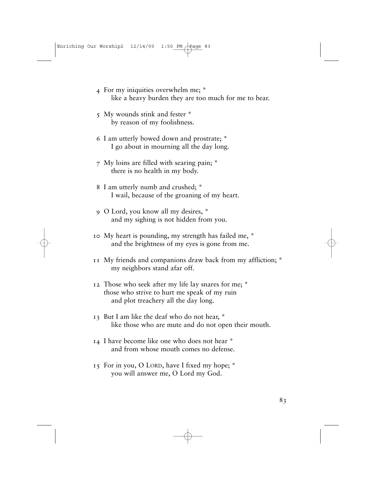- 4 For my iniquities overwhelm me; \* like a heavy burden they are too much for me to bear.
- 5 My wounds stink and fester \* by reason of my foolishness.
- 6 I am utterly bowed down and prostrate; \* I go about in mourning all the day long.
- 7 My loins are filled with searing pain; \* there is no health in my body.
- 8 I am utterly numb and crushed; \* I wail, because of the groaning of my heart.
- 9 O Lord, you know all my desires, \* and my sighing is not hidden from you.
- 10 My heart is pounding, my strength has failed me, \* and the brightness of my eyes is gone from me.
- 11 My friends and companions draw back from my affliction; \* my neighbors stand afar off.
- 12 Those who seek after my life lay snares for me; \* those who strive to hurt me speak of my ruin and plot treachery all the day long.
- 13 But I am like the deaf who do not hear, \* like those who are mute and do not open their mouth.
- 14 I have become like one who does not hear \* and from whose mouth comes no defense.
- 15 For in you, O LORD, have I fixed my hope; \* you will answer me, O Lord my God.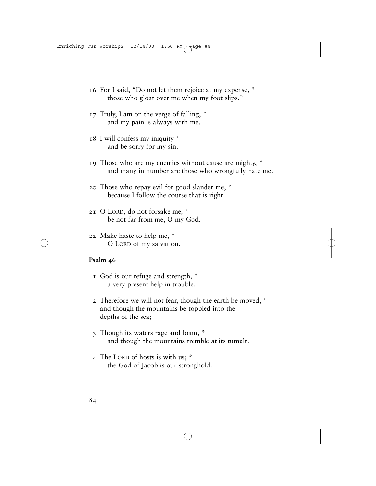- 16 For I said, "Do not let them rejoice at my expense, \* those who gloat over me when my foot slips."
- 17 Truly, I am on the verge of falling, \* and my pain is always with me.
- 18 I will confess my iniquity \* and be sorry for my sin.
- 19 Those who are my enemies without cause are mighty, \* and many in number are those who wrongfully hate me.
- 20 Those who repay evil for good slander me, \* because I follow the course that is right.
- 21 O LORD, do not forsake me; \* be not far from me, O my God.
- 22 Make haste to help me, \* O LORD of my salvation.

- 1 God is our refuge and strength, \* a very present help in trouble.
- 2 Therefore we will not fear, though the earth be moved, \* and though the mountains be toppled into the depths of the sea;
- 3 Though its waters rage and foam, \* and though the mountains tremble at its tumult.
- 4 The LORD of hosts is with us; \* the God of Jacob is our stronghold.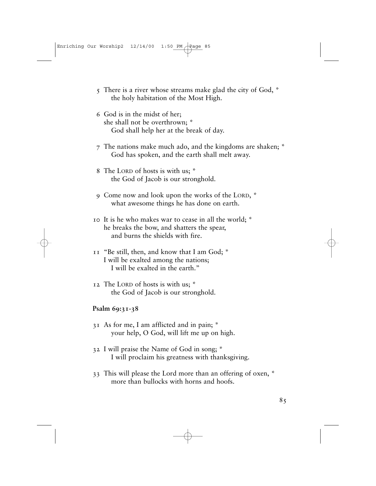- 5 There is a river whose streams make glad the city of God, \* the holy habitation of the Most High.
- 6 God is in the midst of her; she shall not be overthrown; \* God shall help her at the break of day.
- 7 The nations make much ado, and the kingdoms are shaken; \* God has spoken, and the earth shall melt away.
- 8 The LORD of hosts is with us; \* the God of Jacob is our stronghold.
- 9 Come now and look upon the works of the LORD, \* what awesome things he has done on earth.
- 10 It is he who makes war to cease in all the world; \* he breaks the bow, and shatters the spear, and burns the shields with fire.
- 11 "Be still, then, and know that I am God; \* I will be exalted among the nations; I will be exalted in the earth."
- 12 The LORD of hosts is with us; \* the God of Jacob is our stronghold.

#### **Psalm 69:31-38**

- 31 As for me, I am afflicted and in pain; \* your help, O God, will lift me up on high.
- 32 I will praise the Name of God in song; \* I will proclaim his greatness with thanksgiving.
- 33 This will please the Lord more than an offering of oxen, \* more than bullocks with horns and hoofs.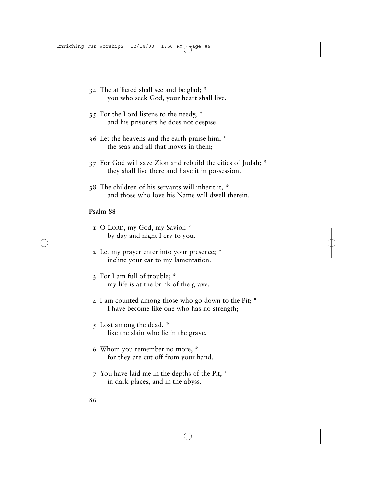- 34 The afflicted shall see and be glad; \* you who seek God, your heart shall live.
- 35 For the Lord listens to the needy, \* and his prisoners he does not despise.
- 36 Let the heavens and the earth praise him, \* the seas and all that moves in them;
- 37 For God will save Zion and rebuild the cities of Judah; \* they shall live there and have it in possession.
- 38 The children of his servants will inherit it, \* and those who love his Name will dwell therein.

- 1 O LORD, my God, my Savior, \* by day and night I cry to you.
- 2 Let my prayer enter into your presence; \* incline your ear to my lamentation.
- 3 For I am full of trouble; \* my life is at the brink of the grave.
- 4 I am counted among those who go down to the Pit; \* I have become like one who has no strength;
- 5 Lost among the dead, \* like the slain who lie in the grave,
- 6 Whom you remember no more, \* for they are cut off from your hand.
- 7 You have laid me in the depths of the Pit, \* in dark places, and in the abyss.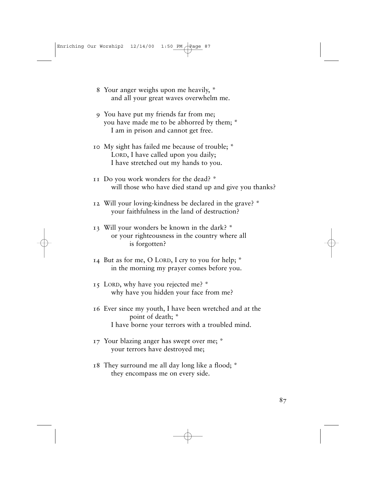- 8 Your anger weighs upon me heavily, \* and all your great waves overwhelm me.
- 9 You have put my friends far from me; you have made me to be abhorred by them; \* I am in prison and cannot get free.
- 10 My sight has failed me because of trouble; \* LORD, I have called upon you daily; I have stretched out my hands to you.
- 11 Do you work wonders for the dead? \* will those who have died stand up and give you thanks?
- 12 Will your loving-kindness be declared in the grave? \* your faithfulness in the land of destruction?
- 13 Will your wonders be known in the dark? \* or your righteousness in the country where all is forgotten?
- 14 But as for me, O LORD, I cry to you for help; \* in the morning my prayer comes before you.
- 15 LORD, why have you rejected me? \* why have you hidden your face from me?
- 16 Ever since my youth, I have been wretched and at the point of death; \* I have borne your terrors with a troubled mind.
- 17 Your blazing anger has swept over me; \* your terrors have destroyed me;
- 18 They surround me all day long like a flood; \* they encompass me on every side.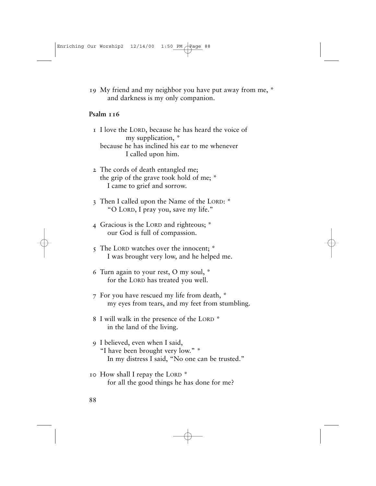19 My friend and my neighbor you have put away from me, \* and darkness is my only companion.

- 1 I love the LORD, because he has heard the voice of my supplication, \* because he has inclined his ear to me whenever I called upon him.
- 2 The cords of death entangled me; the grip of the grave took hold of me; \* I came to grief and sorrow.
- 3 Then I called upon the Name of the LORD: \* "O LORD, I pray you, save my life."
- 4 Gracious is the LORD and righteous; \* our God is full of compassion.
- 5 The LORD watches over the innocent; \* I was brought very low, and he helped me.
- 6 Turn again to your rest, O my soul, \* for the LORD has treated you well.
- 7 For you have rescued my life from death, \* my eyes from tears, and my feet from stumbling.
- 8 I will walk in the presence of the LORD \* in the land of the living.
- 9 I believed, even when I said, "I have been brought very low." \* In my distress I said, "No one can be trusted."
- 10 How shall I repay the LORD \* for all the good things he has done for me?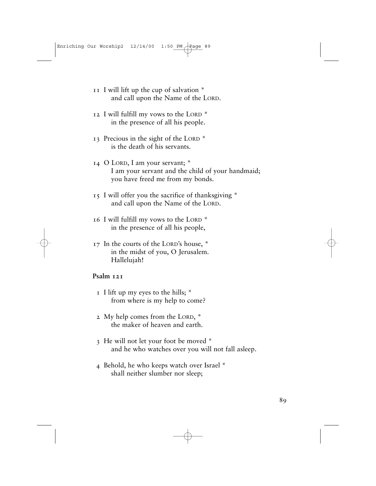- 11 I will lift up the cup of salvation \* and call upon the Name of the LORD.
- 12 I will fulfill my vows to the LORD \* in the presence of all his people.
- 13 Precious in the sight of the LORD \* is the death of his servants.
- 14 O LORD, I am your servant; \* I am your servant and the child of your handmaid; you have freed me from my bonds.
- 15 I will offer you the sacrifice of thanksgiving \* and call upon the Name of the LORD.
- 16 I will fulfill my vows to the LORD \* in the presence of all his people,
- 17 In the courts of the LORD's house, \* in the midst of you, O Jerusalem. Hallelujah!

- 1 I lift up my eyes to the hills; \* from where is my help to come?
- 2 My help comes from the LORD, \* the maker of heaven and earth.
- 3 He will not let your foot be moved \* and he who watches over you will not fall asleep.
- 4 Behold, he who keeps watch over Israel \* shall neither slumber nor sleep;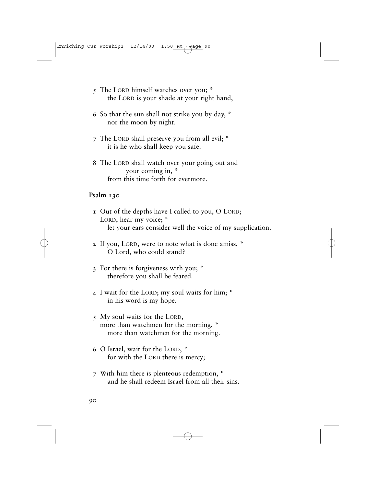- 5 The LORD himself watches over you; \* the LORD is your shade at your right hand,
- 6 So that the sun shall not strike you by day, \* nor the moon by night.
- 7 The LORD shall preserve you from all evil; \* it is he who shall keep you safe.
- 8 The LORD shall watch over your going out and your coming in, \* from this time forth for evermore.

- 1 Out of the depths have I called to you, O LORD; LORD, hear my voice; \* let your ears consider well the voice of my supplication.
- 2 If you, LORD, were to note what is done amiss, \* O Lord, who could stand?
- 3 For there is forgiveness with you; \* therefore you shall be feared.
- 4 I wait for the LORD; my soul waits for him; \* in his word is my hope.
- 5 My soul waits for the LORD, more than watchmen for the morning, \* more than watchmen for the morning.
- 6 O Israel, wait for the LORD, \* for with the LORD there is mercy;
- 7 With him there is plenteous redemption, \* and he shall redeem Israel from all their sins.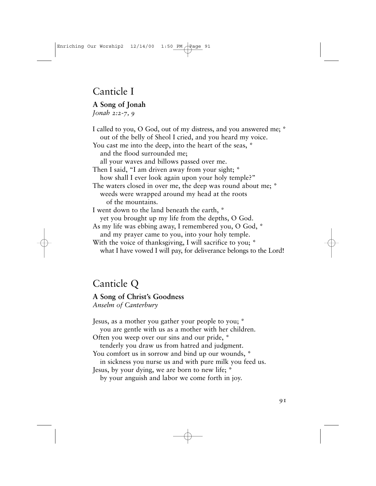# Canticle I

## **A Song of Jonah**

*Jonah 2:2-7, 9*

I called to you, O God, out of my distress, and you answered me; \* out of the belly of Sheol I cried, and you heard my voice. You cast me into the deep, into the heart of the seas,  $*$ and the flood surrounded me; all your waves and billows passed over me. Then I said, "I am driven away from your sight; \* how shall I ever look again upon your holy temple?" The waters closed in over me, the deep was round about me; \* weeds were wrapped around my head at the roots of the mountains. I went down to the land beneath the earth, \* yet you brought up my life from the depths, O God. As my life was ebbing away, I remembered you, O God, \* and my prayer came to you, into your holy temple. With the voice of thanksgiving, I will sacrifice to you;  $*$ what I have vowed I will pay, for deliverance belongs to the Lord!

# Canticle Q

# **A Song of Christ's Goodness**

*Anselm of Canterbury*

Jesus, as a mother you gather your people to you; \* you are gentle with us as a mother with her children. Often you weep over our sins and our pride, \* tenderly you draw us from hatred and judgment. You comfort us in sorrow and bind up our wounds,  $*$ in sickness you nurse us and with pure milk you feed us. Jesus, by your dying, we are born to new life; \* by your anguish and labor we come forth in joy.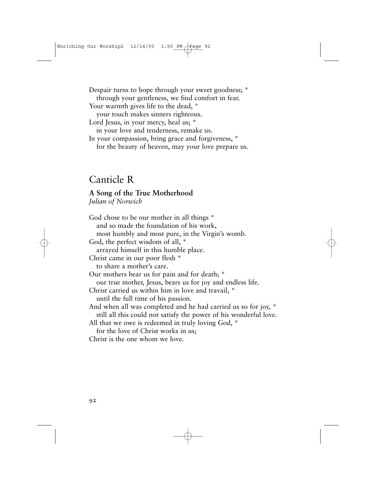Despair turns to hope through your sweet goodness; \* through your gentleness, we find comfort in fear. Your warmth gives life to the dead,  $*$ your touch makes sinners righteous. Lord Jesus, in your mercy, heal us; \* in your love and tenderness, remake us. In your compassion, bring grace and forgiveness, \* for the beauty of heaven, may your love prepare us.

# Canticle R

#### **A Song of the True Motherhood**

*Julian of Norwich*

God chose to be our mother in all things  $*$ and so made the foundation of his work, most humbly and most pure, in the Virgin's womb. God, the perfect wisdom of all, \* arrayed himself in this humble place. Christ came in our poor flesh \* to share a mother's care. Our mothers bear us for pain and for death; \* our true mother, Jesus, bears us for joy and endless life. Christ carried us within him in love and travail, \* until the full time of his passion. And when all was completed and he had carried us so for joy, \* still all this could not satisfy the power of his wonderful love. All that we owe is redeemed in truly loving God, \* for the love of Christ works in us; Christ is the one whom we love.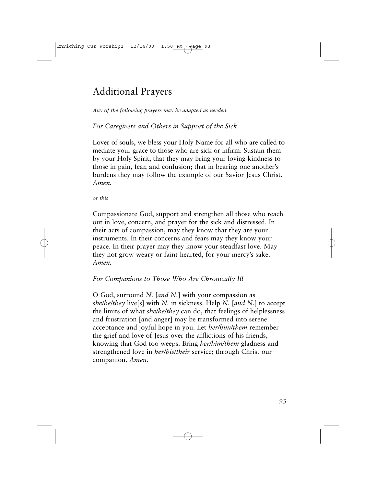# Additional Prayers

*Any of the following prayers may be adapted as needed.*

*For Caregivers and Others in Support of the Sick*

Lover of souls, we bless your Holy Name for all who are called to mediate your grace to those who are sick or infirm. Sustain them by your Holy Spirit, that they may bring your loving-kindness to those in pain, fear, and confusion; that in bearing one another's burdens they may follow the example of our Savior Jesus Christ. *Amen.*

*or this*

Compassionate God, support and strengthen all those who reach out in love, concern, and prayer for the sick and distressed. In their acts of compassion, may they know that they are your instruments. In their concerns and fears may they know your peace. In their prayer may they know your steadfast love. May they not grow weary or faint-hearted, for your mercy's sake. *Amen.*

## *For Companions to Those Who Are Chronically Ill*

O God, surround *N.* [*and N.*] with your compassion as *she/he/they* live[s] with *N.* in sickness. Help *N.* [*and N.*] to accept the limits of what *she/he/they* can do, that feelings of helplessness and frustration [and anger] may be transformed into serene acceptance and joyful hope in you. Let *her/him/them* remember the grief and love of Jesus over the afflictions of his friends, knowing that God too weeps. Bring *her/him/them* gladness and strengthened love in *her/his/their* service; through Christ our companion. *Amen.*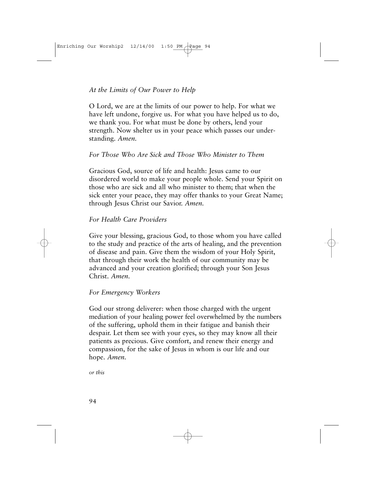## *At the Limits of Our Power to Help*

O Lord, we are at the limits of our power to help. For what we have left undone, forgive us. For what you have helped us to do, we thank you. For what must be done by others, lend your strength. Now shelter us in your peace which passes our understanding. *Amen.*

#### *For Those Who Are Sick and Those Who Minister to Them*

Gracious God, source of life and health: Jesus came to our disordered world to make your people whole. Send your Spirit on those who are sick and all who minister to them; that when the sick enter your peace, they may offer thanks to your Great Name; through Jesus Christ our Savior. *Amen.*

#### *For Health Care Providers*

Give your blessing, gracious God, to those whom you have called to the study and practice of the arts of healing, and the prevention of disease and pain. Give them the wisdom of your Holy Spirit, that through their work the health of our community may be advanced and your creation glorified; through your Son Jesus Christ. *Amen.*

#### *For Emergency Workers*

God our strong deliverer: when those charged with the urgent mediation of your healing power feel overwhelmed by the numbers of the suffering, uphold them in their fatigue and banish their despair. Let them see with your eyes, so they may know all their patients as precious. Give comfort, and renew their energy and compassion, for the sake of Jesus in whom is our life and our hope. *Amen.*

*or this*